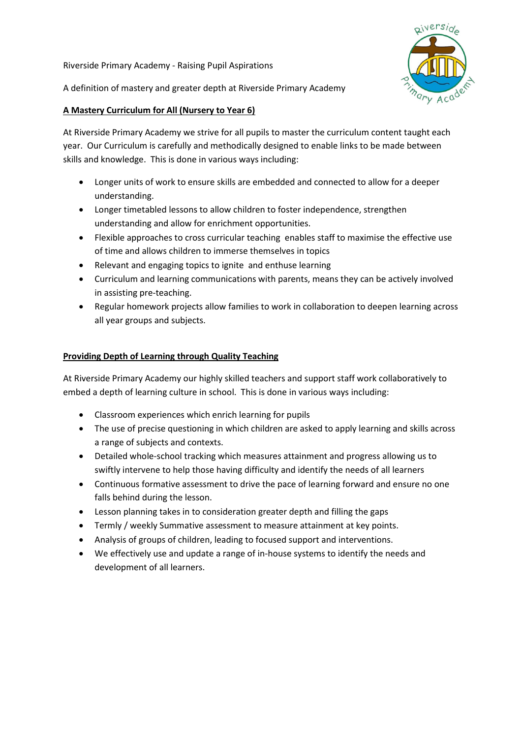Riverside Primary Academy - Raising Pupil Aspirations



A definition of mastery and greater depth at Riverside Primary Academy

## A Mastery Curriculum for All (Nursery to Year 6)

At Riverside Primary Academy we strive for all pupils to master the curriculum content taught each year. Our Curriculum is carefully and methodically designed to enable links to be made between skills and knowledge. This is done in various ways including:

- Longer units of work to ensure skills are embedded and connected to allow for a deeper understanding.
- Longer timetabled lessons to allow children to foster independence, strengthen understanding and allow for enrichment opportunities.
- Flexible approaches to cross curricular teaching enables staff to maximise the effective use of time and allows children to immerse themselves in topics
- Relevant and engaging topics to ignite and enthuse learning
- Curriculum and learning communications with parents, means they can be actively involved in assisting pre-teaching.
- Regular homework projects allow families to work in collaboration to deepen learning across all year groups and subjects.

# Providing Depth of Learning through Quality Teaching

At Riverside Primary Academy our highly skilled teachers and support staff work collaboratively to embed a depth of learning culture in school. This is done in various ways including:

- Classroom experiences which enrich learning for pupils
- The use of precise questioning in which children are asked to apply learning and skills across a range of subjects and contexts.
- Detailed whole-school tracking which measures attainment and progress allowing us to swiftly intervene to help those having difficulty and identify the needs of all learners
- Continuous formative assessment to drive the pace of learning forward and ensure no one falls behind during the lesson.
- Lesson planning takes in to consideration greater depth and filling the gaps
- Termly / weekly Summative assessment to measure attainment at key points.
- Analysis of groups of children, leading to focused support and interventions.
- We effectively use and update a range of in-house systems to identify the needs and development of all learners.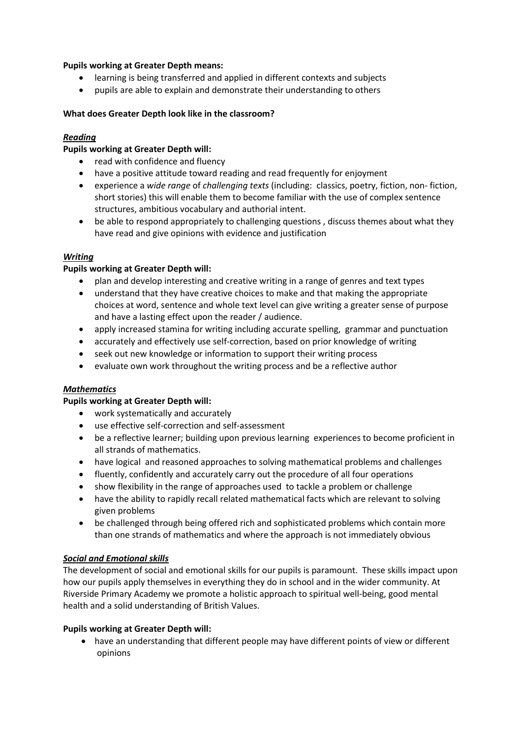## Pupils working at Greater Depth means:

- learning is being transferred and applied in different contexts and subjects
- pupils are able to explain and demonstrate their understanding to others

## What does Greater Depth look like in the classroom?

## Reading

## Pupils working at Greater Depth will:

- read with confidence and fluency
- have a positive attitude toward reading and read frequently for enjoyment
- experience a wide range of challenging texts (including: classics, poetry, fiction, non- fiction, short stories) this will enable them to become familiar with the use of complex sentence structures, ambitious vocabulary and authorial intent.
- be able to respond appropriately to challenging questions , discuss themes about what they have read and give opinions with evidence and justification

#### Writing

## Pupils working at Greater Depth will:

- plan and develop interesting and creative writing in a range of genres and text types
- understand that they have creative choices to make and that making the appropriate choices at word, sentence and whole text level can give writing a greater sense of purpose and have a lasting effect upon the reader / audience.
- apply increased stamina for writing including accurate spelling, grammar and punctuation
- accurately and effectively use self-correction, based on prior knowledge of writing
- seek out new knowledge or information to support their writing process
- evaluate own work throughout the writing process and be a reflective author

#### **Mathematics**

#### Pupils working at Greater Depth will:

- work systematically and accurately
- use effective self-correction and self-assessment
- be a reflective learner; building upon previous learning experiences to become proficient in all strands of mathematics.
- have logical and reasoned approaches to solving mathematical problems and challenges
- fluently, confidently and accurately carry out the procedure of all four operations
- show flexibility in the range of approaches used to tackle a problem or challenge
- have the ability to rapidly recall related mathematical facts which are relevant to solving given problems
- be challenged through being offered rich and sophisticated problems which contain more than one strands of mathematics and where the approach is not immediately obvious

#### Social and Emotional skills

The development of social and emotional skills for our pupils is paramount. These skills impact upon how our pupils apply themselves in everything they do in school and in the wider community. At Riverside Primary Academy we promote a holistic approach to spiritual well-being, good mental health and a solid understanding of British Values.

#### Pupils working at Greater Depth will:

 have an understanding that different people may have different points of view or different opinions